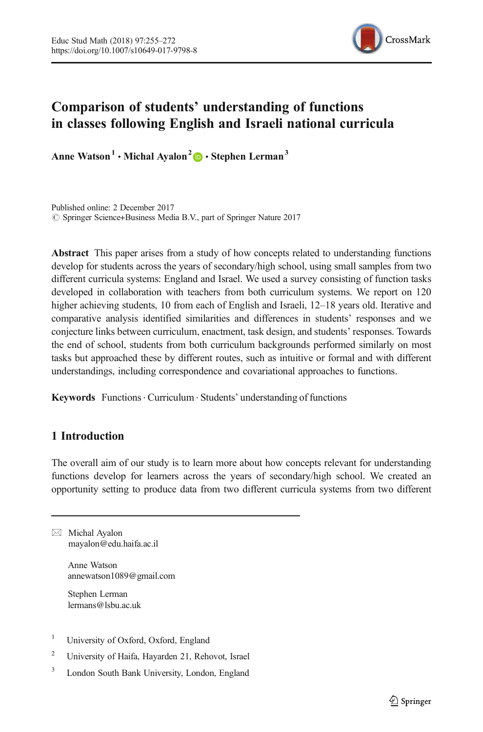

# Comparison of students' understanding of functions in classes following English and Israeli national curricula

Anne Watson<sup>1</sup> • Michal Ayalon<sup>2</sup>  $\bullet$  • Stephen Lerman<sup>3</sup>

Published online: 2 December 2017 © Springer Science+Business Media B.V., part of Springer Nature 2017

Abstract This paper arises from a study of how concepts related to understanding functions develop for students across the years of secondary/high school, using small samples from two different curricula systems: England and Israel. We used a survey consisting of function tasks developed in collaboration with teachers from both curriculum systems. We report on 120 higher achieving students, 10 from each of English and Israeli, 12–18 years old. Iterative and comparative analysis identified similarities and differences in students' responses and we conjecture links between curriculum, enactment, task design, and students' responses. Towards the end of school, students from both curriculum backgrounds performed similarly on most tasks but approached these by different routes, such as intuitive or formal and with different understandings, including correspondence and covariational approaches to functions.

Keywords Functions Curriculum · Students' understanding of functions

## 1 Introduction

The overall aim of our study is to learn more about how concepts relevant for understanding functions develop for learners across the years of secondary/high school. We created an opportunity setting to produce data from two different curricula systems from two different

 $\boxtimes$  Michal Ayalon [mayalon@edu.haifa.ac.il](mailto:mayalon@edu.haifa.ac.il)

> Anne Watson annewatson1089@gmail.com

Stephen Lerman lermans@lsbu.ac.uk

- <sup>1</sup> University of Oxford, Oxford, England
- <sup>2</sup> University of Haifa, Hayarden 21, Rehovot, Israel
- <sup>3</sup> London South Bank University, London, England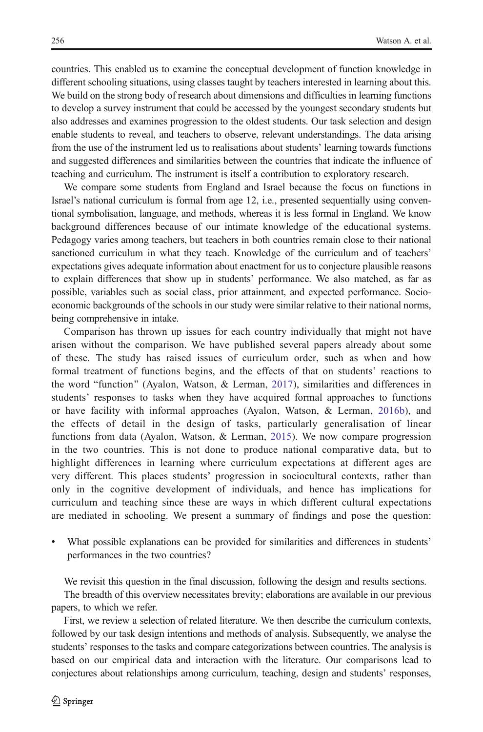countries. This enabled us to examine the conceptual development of function knowledge in different schooling situations, using classes taught by teachers interested in learning about this. We build on the strong body of research about dimensions and difficulties in learning functions to develop a survey instrument that could be accessed by the youngest secondary students but also addresses and examines progression to the oldest students. Our task selection and design enable students to reveal, and teachers to observe, relevant understandings. The data arising from the use of the instrument led us to realisations about students' learning towards functions and suggested differences and similarities between the countries that indicate the influence of teaching and curriculum. The instrument is itself a contribution to exploratory research.

We compare some students from England and Israel because the focus on functions in Israel's national curriculum is formal from age 12, i.e., presented sequentially using conventional symbolisation, language, and methods, whereas it is less formal in England. We know background differences because of our intimate knowledge of the educational systems. Pedagogy varies among teachers, but teachers in both countries remain close to their national sanctioned curriculum in what they teach. Knowledge of the curriculum and of teachers' expectations gives adequate information about enactment for us to conjecture plausible reasons to explain differences that show up in students' performance. We also matched, as far as possible, variables such as social class, prior attainment, and expected performance. Socioeconomic backgrounds of the schools in our study were similar relative to their national norms, being comprehensive in intake.

Comparison has thrown up issues for each country individually that might not have arisen without the comparison. We have published several papers already about some of these. The study has raised issues of curriculum order, such as when and how formal treatment of functions begins, and the effects of that on students' reactions to the word "function" (Ayalon, Watson,  $\&$  Lerman, [2017\)](#page-16-0), similarities and differences in students' responses to tasks when they have acquired formal approaches to functions or have facility with informal approaches (Ayalon, Watson, & Lerman, [2016b](#page-16-0)), and the effects of detail in the design of tasks, particularly generalisation of linear functions from data (Ayalon, Watson, & Lerman, [2015\)](#page-16-0). We now compare progression in the two countries. This is not done to produce national comparative data, but to highlight differences in learning where curriculum expectations at different ages are very different. This places students' progression in sociocultural contexts, rather than only in the cognitive development of individuals, and hence has implications for curriculum and teaching since these are ways in which different cultural expectations are mediated in schooling. We present a summary of findings and pose the question:

What possible explanations can be provided for similarities and differences in students' performances in the two countries?

We revisit this question in the final discussion, following the design and results sections.

The breadth of this overview necessitates brevity; elaborations are available in our previous papers, to which we refer.

First, we review a selection of related literature. We then describe the curriculum contexts, followed by our task design intentions and methods of analysis. Subsequently, we analyse the students' responses to the tasks and compare categorizations between countries. The analysis is based on our empirical data and interaction with the literature. Our comparisons lead to conjectures about relationships among curriculum, teaching, design and students' responses,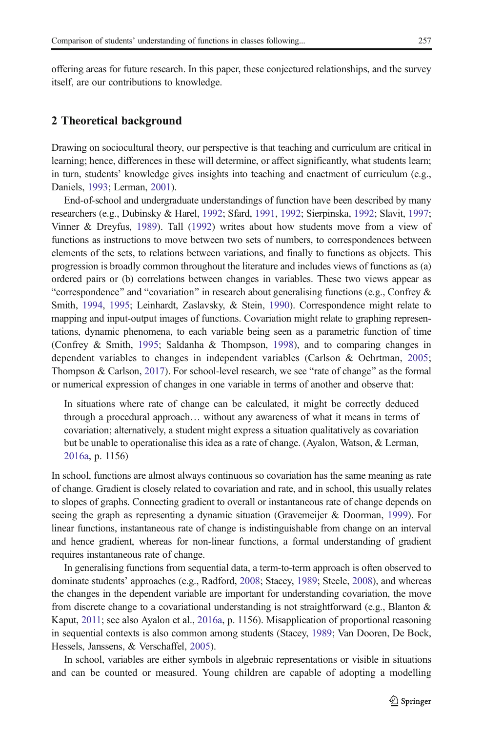offering areas for future research. In this paper, these conjectured relationships, and the survey itself, are our contributions to knowledge.

#### 2 Theoretical background

Drawing on sociocultural theory, our perspective is that teaching and curriculum are critical in learning; hence, differences in these will determine, or affect significantly, what students learn; in turn, students' knowledge gives insights into teaching and enactment of curriculum (e.g., Daniels, [1993](#page-16-0); Lerman, [2001\)](#page-16-0).

End-of-school and undergraduate understandings of function have been described by many researchers (e.g., Dubinsky & Harel, [1992;](#page-16-0) Sfard, [1991,](#page-17-0) [1992;](#page-17-0) Sierpinska, [1992;](#page-17-0) Slavit, [1997](#page-17-0); Vinner & Dreyfus, [1989\)](#page-17-0). Tall [\(1992\)](#page-17-0) writes about how students move from a view of functions as instructions to move between two sets of numbers, to correspondences between elements of the sets, to relations between variations, and finally to functions as objects. This progression is broadly common throughout the literature and includes views of functions as (a) ordered pairs or (b) correlations between changes in variables. These two views appear as "correspondence" and "covariation" in research about generalising functions (e.g., Confrey  $\&$ Smith, [1994](#page-16-0), [1995](#page-16-0); Leinhardt, Zaslavsky, & Stein, [1990](#page-16-0)). Correspondence might relate to mapping and input-output images of functions. Covariation might relate to graphing representations, dynamic phenomena, to each variable being seen as a parametric function of time (Confrey & Smith, [1995](#page-16-0); Saldanha & Thompson, [1998](#page-17-0)), and to comparing changes in dependent variables to changes in independent variables (Carlson & Oehrtman, [2005](#page-16-0); Thompson  $\&$  Carlson, [2017\)](#page-17-0). For school-level research, we see "rate of change" as the formal or numerical expression of changes in one variable in terms of another and observe that:

In situations where rate of change can be calculated, it might be correctly deduced through a procedural approach… without any awareness of what it means in terms of covariation; alternatively, a student might express a situation qualitatively as covariation but be unable to operationalise this idea as a rate of change. (Ayalon, Watson, & Lerman, [2016a,](#page-16-0) p. 1156)

In school, functions are almost always continuous so covariation has the same meaning as rate of change. Gradient is closely related to covariation and rate, and in school, this usually relates to slopes of graphs. Connecting gradient to overall or instantaneous rate of change depends on seeing the graph as representing a dynamic situation (Gravemeijer & Doorman, [1999](#page-16-0)). For linear functions, instantaneous rate of change is indistinguishable from change on an interval and hence gradient, whereas for non-linear functions, a formal understanding of gradient requires instantaneous rate of change.

In generalising functions from sequential data, a term-to-term approach is often observed to dominate students' approaches (e.g., Radford, [2008;](#page-16-0) Stacey, [1989;](#page-17-0) Steele, [2008](#page-17-0)), and whereas the changes in the dependent variable are important for understanding covariation, the move from discrete change to a covariational understanding is not straightforward (e.g., Blanton  $\&$ Kaput, [2011](#page-16-0); see also Ayalon et al., [2016a](#page-16-0), p. 1156). Misapplication of proportional reasoning in sequential contexts is also common among students (Stacey, [1989](#page-17-0); Van Dooren, De Bock, Hessels, Janssens, & Verschaffel, [2005](#page-17-0)).

In school, variables are either symbols in algebraic representations or visible in situations and can be counted or measured. Young children are capable of adopting a modelling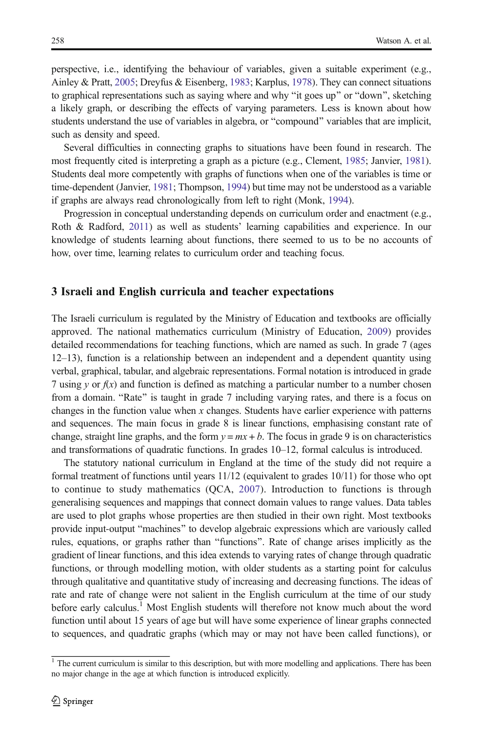perspective, i.e., identifying the behaviour of variables, given a suitable experiment (e.g., Ainley & Pratt, [2005;](#page-16-0) Dreyfus & Eisenberg, [1983;](#page-16-0) Karplus, [1978\)](#page-16-0). They can connect situations to graphical representations such as saying where and why "it goes up" or "down", sketching a likely graph, or describing the effects of varying parameters. Less is known about how students understand the use of variables in algebra, or "compound" variables that are implicit, such as density and speed.

Several difficulties in connecting graphs to situations have been found in research. The most frequently cited is interpreting a graph as a picture (e.g., Clement, [1985;](#page-16-0) Janvier, [1981](#page-16-0)). Students deal more competently with graphs of functions when one of the variables is time or time-dependent (Janvier, [1981;](#page-16-0) Thompson, [1994\)](#page-17-0) but time may not be understood as a variable if graphs are always read chronologically from left to right (Monk, [1994](#page-16-0)).

Progression in conceptual understanding depends on curriculum order and enactment (e.g., Roth & Radford, [2011\)](#page-17-0) as well as students' learning capabilities and experience. In our knowledge of students learning about functions, there seemed to us to be no accounts of how, over time, learning relates to curriculum order and teaching focus.

#### 3 Israeli and English curricula and teacher expectations

The Israeli curriculum is regulated by the Ministry of Education and textbooks are officially approved. The national mathematics curriculum (Ministry of Education, [2009](#page-16-0)) provides detailed recommendations for teaching functions, which are named as such. In grade 7 (ages 12–13), function is a relationship between an independent and a dependent quantity using verbal, graphical, tabular, and algebraic representations. Formal notation is introduced in grade 7 using y or  $f(x)$  and function is defined as matching a particular number to a number chosen from a domain. "Rate" is taught in grade 7 including varying rates, and there is a focus on changes in the function value when  $x$  changes. Students have earlier experience with patterns and sequences. The main focus in grade 8 is linear functions, emphasising constant rate of change, straight line graphs, and the form  $y = mx + b$ . The focus in grade 9 is on characteristics and transformations of quadratic functions. In grades 10–12, formal calculus is introduced.

The statutory national curriculum in England at the time of the study did not require a formal treatment of functions until years 11/12 (equivalent to grades 10/11) for those who opt to continue to study mathematics (QCA, [2007\)](#page-16-0). Introduction to functions is through generalising sequences and mappings that connect domain values to range values. Data tables are used to plot graphs whose properties are then studied in their own right. Most textbooks provide input-output "machines" to develop algebraic expressions which are variously called rules, equations, or graphs rather than "functions". Rate of change arises implicitly as the gradient of linear functions, and this idea extends to varying rates of change through quadratic functions, or through modelling motion, with older students as a starting point for calculus through qualitative and quantitative study of increasing and decreasing functions. The ideas of rate and rate of change were not salient in the English curriculum at the time of our study before early calculus.<sup>1</sup> Most English students will therefore not know much about the word function until about 15 years of age but will have some experience of linear graphs connected to sequences, and quadratic graphs (which may or may not have been called functions), or

 $1$  The current curriculum is similar to this description, but with more modelling and applications. There has been no major change in the age at which function is introduced explicitly.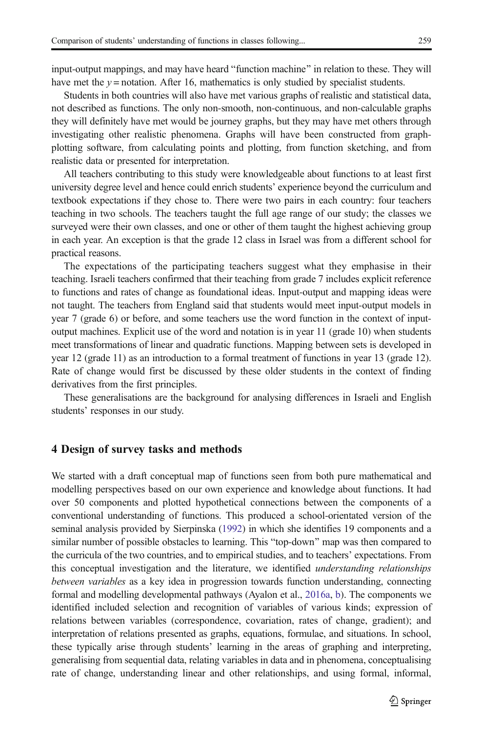input-output mappings, and may have heard "function machine" in relation to these. They will have met the  $y =$  notation. After 16, mathematics is only studied by specialist students.

Students in both countries will also have met various graphs of realistic and statistical data, not described as functions. The only non-smooth, non-continuous, and non-calculable graphs they will definitely have met would be journey graphs, but they may have met others through investigating other realistic phenomena. Graphs will have been constructed from graphplotting software, from calculating points and plotting, from function sketching, and from realistic data or presented for interpretation.

All teachers contributing to this study were knowledgeable about functions to at least first university degree level and hence could enrich students' experience beyond the curriculum and textbook expectations if they chose to. There were two pairs in each country: four teachers teaching in two schools. The teachers taught the full age range of our study; the classes we surveyed were their own classes, and one or other of them taught the highest achieving group in each year. An exception is that the grade 12 class in Israel was from a different school for practical reasons.

The expectations of the participating teachers suggest what they emphasise in their teaching. Israeli teachers confirmed that their teaching from grade 7 includes explicit reference to functions and rates of change as foundational ideas. Input-output and mapping ideas were not taught. The teachers from England said that students would meet input-output models in year 7 (grade 6) or before, and some teachers use the word function in the context of inputoutput machines. Explicit use of the word and notation is in year 11 (grade 10) when students meet transformations of linear and quadratic functions. Mapping between sets is developed in year 12 (grade 11) as an introduction to a formal treatment of functions in year 13 (grade 12). Rate of change would first be discussed by these older students in the context of finding derivatives from the first principles.

These generalisations are the background for analysing differences in Israeli and English students' responses in our study.

#### 4 Design of survey tasks and methods

We started with a draft conceptual map of functions seen from both pure mathematical and modelling perspectives based on our own experience and knowledge about functions. It had over 50 components and plotted hypothetical connections between the components of a conventional understanding of functions. This produced a school-orientated version of the seminal analysis provided by Sierpinska [\(1992](#page-17-0)) in which she identifies 19 components and a similar number of possible obstacles to learning. This "top-down" map was then compared to the curricula of the two countries, and to empirical studies, and to teachers' expectations. From this conceptual investigation and the literature, we identified *understanding relationships* between variables as a key idea in progression towards function understanding, connecting formal and modelling developmental pathways (Ayalon et al., [2016a](#page-16-0), [b\)](#page-16-0). The components we identified included selection and recognition of variables of various kinds; expression of relations between variables (correspondence, covariation, rates of change, gradient); and interpretation of relations presented as graphs, equations, formulae, and situations. In school, these typically arise through students' learning in the areas of graphing and interpreting, generalising from sequential data, relating variables in data and in phenomena, conceptualising rate of change, understanding linear and other relationships, and using formal, informal,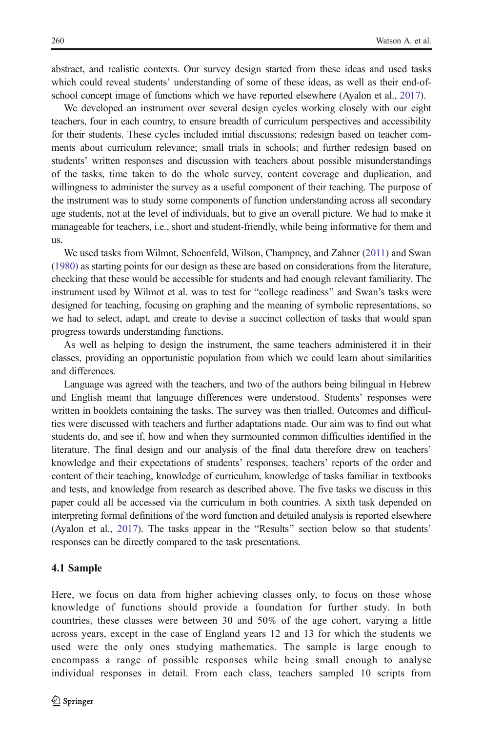abstract, and realistic contexts. Our survey design started from these ideas and used tasks which could reveal students' understanding of some of these ideas, as well as their end-ofschool concept image of functions which we have reported elsewhere (Ayalon et al., [2017\)](#page-16-0).

We developed an instrument over several design cycles working closely with our eight teachers, four in each country, to ensure breadth of curriculum perspectives and accessibility for their students. These cycles included initial discussions; redesign based on teacher comments about curriculum relevance; small trials in schools; and further redesign based on students' written responses and discussion with teachers about possible misunderstandings of the tasks, time taken to do the whole survey, content coverage and duplication, and willingness to administer the survey as a useful component of their teaching. The purpose of the instrument was to study some components of function understanding across all secondary age students, not at the level of individuals, but to give an overall picture. We had to make it manageable for teachers, i.e., short and student-friendly, while being informative for them and us.

We used tasks from Wilmot, Schoenfeld, Wilson, Champney, and Zahner ([2011\)](#page-17-0) and Swan ([1980](#page-17-0)) as starting points for our design as these are based on considerations from the literature, checking that these would be accessible for students and had enough relevant familiarity. The instrument used by Wilmot et al. was to test for "college readiness" and Swan's tasks were designed for teaching, focusing on graphing and the meaning of symbolic representations, so we had to select, adapt, and create to devise a succinct collection of tasks that would span progress towards understanding functions.

As well as helping to design the instrument, the same teachers administered it in their classes, providing an opportunistic population from which we could learn about similarities and differences.

Language was agreed with the teachers, and two of the authors being bilingual in Hebrew and English meant that language differences were understood. Students' responses were written in booklets containing the tasks. The survey was then trialled. Outcomes and difficulties were discussed with teachers and further adaptations made. Our aim was to find out what students do, and see if, how and when they surmounted common difficulties identified in the literature. The final design and our analysis of the final data therefore drew on teachers' knowledge and their expectations of students' responses, teachers' reports of the order and content of their teaching, knowledge of curriculum, knowledge of tasks familiar in textbooks and tests, and knowledge from research as described above. The five tasks we discuss in this paper could all be accessed via the curriculum in both countries. A sixth task depended on interpreting formal definitions of the word function and detailed analysis is reported elsewhere (Ayalon et al.,  $2017$ ). The tasks appear in the "Results" section below so that students' responses can be directly compared to the task presentations.

#### 4.1 Sample

Here, we focus on data from higher achieving classes only, to focus on those whose knowledge of functions should provide a foundation for further study. In both countries, these classes were between 30 and 50% of the age cohort, varying a little across years, except in the case of England years 12 and 13 for which the students we used were the only ones studying mathematics. The sample is large enough to encompass a range of possible responses while being small enough to analyse individual responses in detail. From each class, teachers sampled 10 scripts from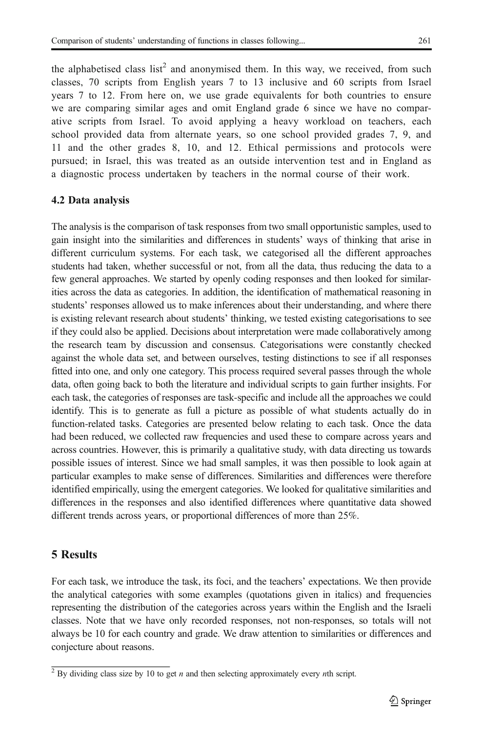the alphabetised class  $list^2$  and anonymised them. In this way, we received, from such classes, 70 scripts from English years 7 to 13 inclusive and 60 scripts from Israel years 7 to 12. From here on, we use grade equivalents for both countries to ensure we are comparing similar ages and omit England grade 6 since we have no comparative scripts from Israel. To avoid applying a heavy workload on teachers, each school provided data from alternate years, so one school provided grades 7, 9, and 11 and the other grades 8, 10, and 12. Ethical permissions and protocols were pursued; in Israel, this was treated as an outside intervention test and in England as a diagnostic process undertaken by teachers in the normal course of their work.

#### 4.2 Data analysis

The analysis is the comparison of task responses from two small opportunistic samples, used to gain insight into the similarities and differences in students' ways of thinking that arise in different curriculum systems. For each task, we categorised all the different approaches students had taken, whether successful or not, from all the data, thus reducing the data to a few general approaches. We started by openly coding responses and then looked for similarities across the data as categories. In addition, the identification of mathematical reasoning in students' responses allowed us to make inferences about their understanding, and where there is existing relevant research about students' thinking, we tested existing categorisations to see if they could also be applied. Decisions about interpretation were made collaboratively among the research team by discussion and consensus. Categorisations were constantly checked against the whole data set, and between ourselves, testing distinctions to see if all responses fitted into one, and only one category. This process required several passes through the whole data, often going back to both the literature and individual scripts to gain further insights. For each task, the categories of responses are task-specific and include all the approaches we could identify. This is to generate as full a picture as possible of what students actually do in function-related tasks. Categories are presented below relating to each task. Once the data had been reduced, we collected raw frequencies and used these to compare across years and across countries. However, this is primarily a qualitative study, with data directing us towards possible issues of interest. Since we had small samples, it was then possible to look again at particular examples to make sense of differences. Similarities and differences were therefore identified empirically, using the emergent categories. We looked for qualitative similarities and differences in the responses and also identified differences where quantitative data showed different trends across years, or proportional differences of more than 25%.

## 5 Results

For each task, we introduce the task, its foci, and the teachers' expectations. We then provide the analytical categories with some examples (quotations given in italics) and frequencies representing the distribution of the categories across years within the English and the Israeli classes. Note that we have only recorded responses, not non-responses, so totals will not always be 10 for each country and grade. We draw attention to similarities or differences and conjecture about reasons.

 $\sqrt[2]{2}$  By dividing class size by 10 to get *n* and then selecting approximately every *n*th script.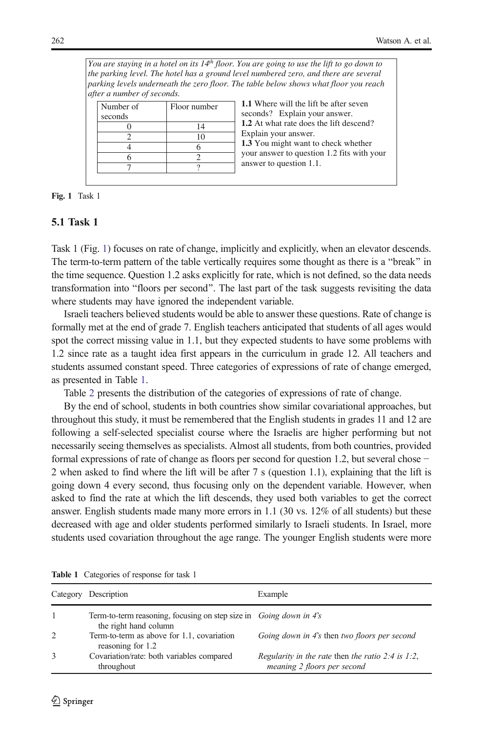|           | ajier a number of seconas. |  |  |  |  |  |
|-----------|----------------------------|--|--|--|--|--|
| Number of | Floor number               |  |  |  |  |  |
| seconds   |                            |  |  |  |  |  |
|           | 14                         |  |  |  |  |  |
|           | 10                         |  |  |  |  |  |
|           |                            |  |  |  |  |  |
|           |                            |  |  |  |  |  |
|           |                            |  |  |  |  |  |
|           |                            |  |  |  |  |  |

*You are staying in a hotel on its 14<sup>th</sup> floor. You are going to use the lift to go down to the parking level. The hotel has a ground level numbered zero, and there are several parking levels underneath the zero floor. The table below shows what floor you reach after a number of seconds.*

**1.1** Where will the lift be after seven seconds? Explain your answer. **1.2** At what rate does the lift descend? Explain your answer. **1.3** You might want to check whether your answer to question 1.2 fits with your answer to question 1.1.

|  | . . |  |
|--|-----|--|
|  |     |  |

#### 5.1 Task 1

Task 1 (Fig. 1) focuses on rate of change, implicitly and explicitly, when an elevator descends. The term-to-term pattern of the table vertically requires some thought as there is a "break" in the time sequence. Question 1.2 asks explicitly for rate, which is not defined, so the data needs transformation into "floors per second". The last part of the task suggests revisiting the data where students may have ignored the independent variable.

Israeli teachers believed students would be able to answer these questions. Rate of change is formally met at the end of grade 7. English teachers anticipated that students of all ages would spot the correct missing value in 1.1, but they expected students to have some problems with 1.2 since rate as a taught idea first appears in the curriculum in grade 12. All teachers and students assumed constant speed. Three categories of expressions of rate of change emerged, as presented in Table 1.

Table [2](#page-8-0) presents the distribution of the categories of expressions of rate of change.

By the end of school, students in both countries show similar covariational approaches, but throughout this study, it must be remembered that the English students in grades 11 and 12 are following a self-selected specialist course where the Israelis are higher performing but not necessarily seeing themselves as specialists. Almost all students, from both countries, provided formal expressions of rate of change as floors per second for question 1.2, but several chose − 2 when asked to find where the lift will be after 7 s (question 1.1), explaining that the lift is going down 4 every second, thus focusing only on the dependent variable. However, when asked to find the rate at which the lift descends, they used both variables to get the correct answer. English students made many more errors in 1.1 (30 vs. 12% of all students) but these decreased with age and older students performed similarly to Israeli students. In Israel, more students used covariation throughout the age range. The younger English students were more

| Category | Description                                                                                        | Example                                                                          |
|----------|----------------------------------------------------------------------------------------------------|----------------------------------------------------------------------------------|
|          | Term-to-term reasoning, focusing on step size in <i>Going down in 4's</i><br>the right hand column |                                                                                  |
| 2        | Term-to-term as above for 1.1, covariation<br>reasoning for 1.2                                    | Going down in 4's then two floors per second                                     |
| 3        | Covariation/rate: both variables compared<br>throughout                                            | Regularity in the rate then the ratio 2:4 is 1:2,<br>meaning 2 floors per second |

Table 1 Categories of response for task 1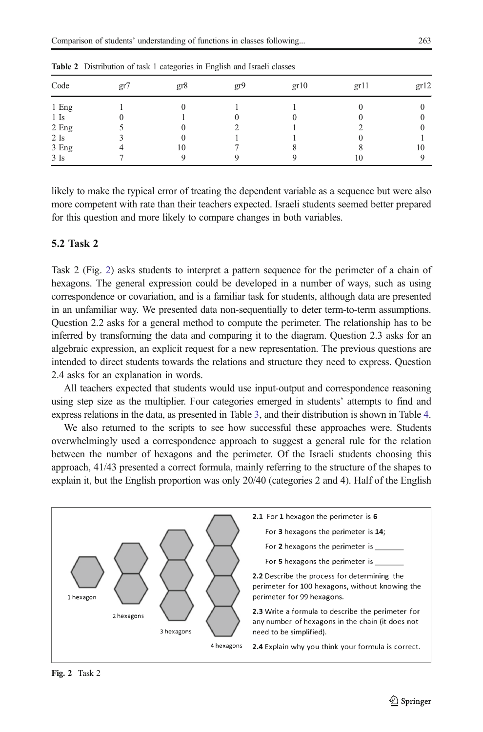| Code         | gr7 | gr8 | gr9 | gr10 | gr11 | gr12 |
|--------------|-----|-----|-----|------|------|------|
| 1 Eng        |     |     |     |      |      |      |
| 1 Is         |     |     |     |      |      |      |
| 2 Eng        |     |     |     |      |      |      |
| $2$ Is       |     |     |     |      |      |      |
| $3$ Eng $\,$ |     | 10  |     |      |      | 10   |
| $3$ Is       |     |     |     |      | 10   |      |

<span id="page-8-0"></span>Table 2 Distribution of task 1 categories in English and Israeli classes

likely to make the typical error of treating the dependent variable as a sequence but were also more competent with rate than their teachers expected. Israeli students seemed better prepared for this question and more likely to compare changes in both variables.

## 5.2 Task 2

Task 2 (Fig. 2) asks students to interpret a pattern sequence for the perimeter of a chain of hexagons. The general expression could be developed in a number of ways, such as using correspondence or covariation, and is a familiar task for students, although data are presented in an unfamiliar way. We presented data non-sequentially to deter term-to-term assumptions. Question 2.2 asks for a general method to compute the perimeter. The relationship has to be inferred by transforming the data and comparing it to the diagram. Question 2.3 asks for an algebraic expression, an explicit request for a new representation. The previous questions are intended to direct students towards the relations and structure they need to express. Question 2.4 asks for an explanation in words.

All teachers expected that students would use input-output and correspondence reasoning using step size as the multiplier. Four categories emerged in students' attempts to find and express relations in the data, as presented in Table [3,](#page-9-0) and their distribution is shown in Table [4](#page-9-0).

We also returned to the scripts to see how successful these approaches were. Students overwhelmingly used a correspondence approach to suggest a general rule for the relation between the number of hexagons and the perimeter. Of the Israeli students choosing this approach, 41/43 presented a correct formula, mainly referring to the structure of the shapes to explain it, but the English proportion was only 20/40 (categories 2 and 4). Half of the English



Fig. 2 Task 2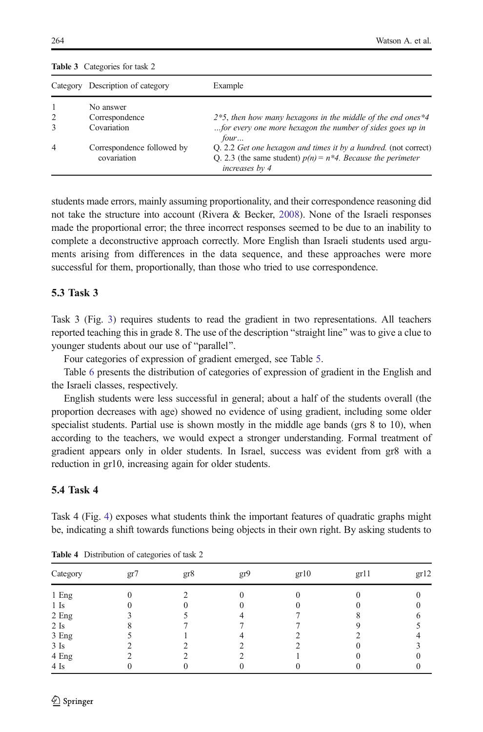|                | Category Description of category          | Example                                                                                                                                             |
|----------------|-------------------------------------------|-----------------------------------------------------------------------------------------------------------------------------------------------------|
|                | No answer                                 |                                                                                                                                                     |
| 2              | Correspondence                            | $2*5$ , then how many hexagons in the middle of the end ones *4                                                                                     |
|                | Covariation                               | for every one more hexagon the number of sides goes up in<br>four                                                                                   |
| $\overline{4}$ | Correspondence followed by<br>covariation | Q. 2.2 Get one hexagon and times it by a hundred. (not correct)<br>Q. 2.3 (the same student) $p(n) = n*4$ . Because the perimeter<br>increases by 4 |

<span id="page-9-0"></span>Table 3 Categories for task 2

students made errors, mainly assuming proportionality, and their correspondence reasoning did not take the structure into account (Rivera & Becker, [2008\)](#page-17-0). None of the Israeli responses made the proportional error; the three incorrect responses seemed to be due to an inability to complete a deconstructive approach correctly. More English than Israeli students used arguments arising from differences in the data sequence, and these approaches were more successful for them, proportionally, than those who tried to use correspondence.

#### 5.3 Task 3

Task 3 (Fig. [3\)](#page-10-0) requires students to read the gradient in two representations. All teachers reported teaching this in grade 8. The use of the description "straight line" was to give a clue to younger students about our use of "parallel".

Four categories of expression of gradient emerged, see Table [5](#page-10-0).

Table [6](#page-11-0) presents the distribution of categories of expression of gradient in the English and the Israeli classes, respectively.

English students were less successful in general; about a half of the students overall (the proportion decreases with age) showed no evidence of using gradient, including some older specialist students. Partial use is shown mostly in the middle age bands (grs 8 to 10), when according to the teachers, we would expect a stronger understanding. Formal treatment of gradient appears only in older students. In Israel, success was evident from gr8 with a reduction in gr10, increasing again for older students.

#### 5.4 Task 4

Task 4 (Fig. [4](#page-11-0)) exposes what students think the important features of quadratic graphs might be, indicating a shift towards functions being objects in their own right. By asking students to

| Category     | gr7 | gr8 | gr9 | gr10 | gr11 | gr12 |
|--------------|-----|-----|-----|------|------|------|
| 1 Eng        |     |     |     |      |      |      |
| 1 Is         |     |     |     |      |      |      |
| 2 Eng        |     |     |     |      |      |      |
| $2$ Is       |     |     |     |      |      |      |
| $3$ Eng $\,$ |     |     |     |      |      |      |
| $3$ Is       |     |     |     |      |      |      |
| 4 Eng        |     |     |     |      |      |      |
| 4 Is         |     |     |     |      |      |      |

Table 4 Distribution of categories of task 2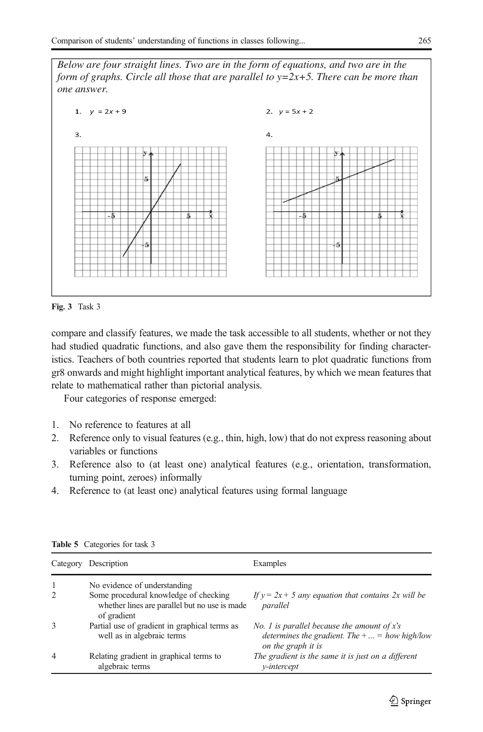<span id="page-10-0"></span>

Fig. 3 Task 3

compare and classify features, we made the task accessible to all students, whether or not they had studied quadratic functions, and also gave them the responsibility for finding characteristics. Teachers of both countries reported that students learn to plot quadratic functions from gr8 onwards and might highlight important analytical features, by which we mean features that relate to mathematical rather than pictorial analysis.

Four categories of response emerged:

- 1. No reference to features at all
- 2. Reference only to visual features (e.g., thin, high, low) that do not express reasoning about variables or functions
- 3. Reference also to (at least one) analytical features (e.g., orientation, transformation, turning point, zeroes) informally
- 4. Reference to (at least one) analytical features using formal language

|                | Category Description                                                                                  | Examples                                                                                                                      |
|----------------|-------------------------------------------------------------------------------------------------------|-------------------------------------------------------------------------------------------------------------------------------|
| 1              | No evidence of understanding                                                                          |                                                                                                                               |
| 2              | Some procedural knowledge of checking<br>whether lines are parallel but no use is made<br>of gradient | If $y = 2x + 5$ any equation that contains 2x will be<br>parallel                                                             |
| 3              | Partial use of gradient in graphical terms as<br>well as in algebraic terms                           | No. 1 is parallel because the amount of $x$ 's<br>determines the gradient. The $+ \dots =$ how high/low<br>on the graph it is |
| $\overline{4}$ | Relating gradient in graphical terms to<br>algebraic terms                                            | The gradient is the same it is just on a different<br><i>v</i> -intercept                                                     |

Table 5 Categories for task 3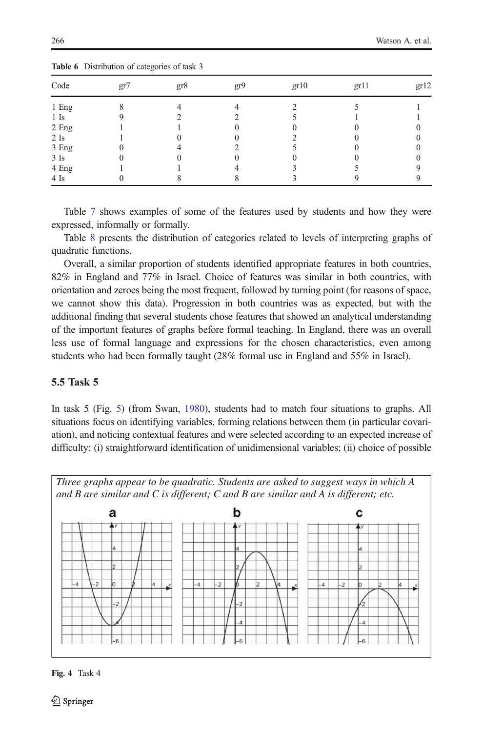| Code   | gr7 | gr8 | gr9 | gr10 | gr11 | gr12 |
|--------|-----|-----|-----|------|------|------|
| 1 Eng  |     |     |     |      |      |      |
| $1$ Is |     |     |     |      |      |      |
| 2 Eng  |     |     |     |      |      |      |
| $2$ Is |     |     |     |      |      |      |
| 3 Eng  |     |     |     |      |      |      |
| $3$ Is |     |     |     |      |      |      |
| 4 Eng  |     |     |     |      |      |      |
| $4$ Is |     |     |     |      |      |      |

<span id="page-11-0"></span>Table 6 Distribution of categories of task 3

Table [7](#page-12-0) shows examples of some of the features used by students and how they were expressed, informally or formally.

Table [8](#page-12-0) presents the distribution of categories related to levels of interpreting graphs of quadratic functions.

Overall, a similar proportion of students identified appropriate features in both countries, 82% in England and 77% in Israel. Choice of features was similar in both countries, with orientation and zeroes being the most frequent, followed by turning point (for reasons of space, we cannot show this data). Progression in both countries was as expected, but with the additional finding that several students chose features that showed an analytical understanding of the important features of graphs before formal teaching. In England, there was an overall less use of formal language and expressions for the chosen characteristics, even among students who had been formally taught (28% formal use in England and 55% in Israel).

#### 5.5 Task 5

In task 5 (Fig. [5](#page-13-0)) (from Swan, [1980](#page-17-0)), students had to match four situations to graphs. All situations focus on identifying variables, forming relations between them (in particular covariation), and noticing contextual features and were selected according to an expected increase of difficulty: (i) straightforward identification of unidimensional variables; (ii) choice of possible

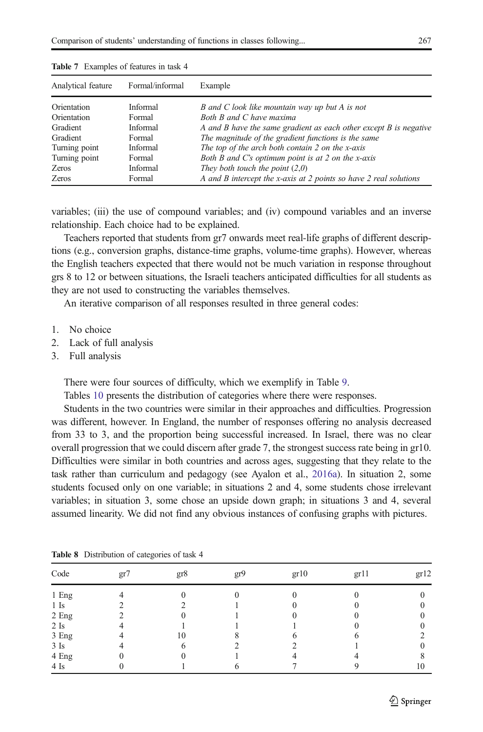| Analytical feature | Formal/informal | Example                                                           |
|--------------------|-----------------|-------------------------------------------------------------------|
| Orientation        | Informal        | B and C look like mountain way up but A is not                    |
| Orientation        | Formal          | Both B and C have maxima                                          |
| Gradient           | Informal        | A and B have the same gradient as each other except B is negative |
| Gradient           | Formal          | The magnitude of the gradient functions is the same               |
| Turning point      | Informal        | The top of the arch both contain 2 on the x-axis                  |
| Turning point      | Formal          | Both B and C's optimum point is at 2 on the x-axis                |
| Zeros              | Informal        | They both touch the point $(2,0)$                                 |
| Zeros              | Formal          | A and B intercept the x-axis at 2 points so have 2 real solutions |

<span id="page-12-0"></span>Table 7 Examples of features in task 4

variables; (iii) the use of compound variables; and (iv) compound variables and an inverse relationship. Each choice had to be explained.

Teachers reported that students from gr7 onwards meet real-life graphs of different descriptions (e.g., conversion graphs, distance-time graphs, volume-time graphs). However, whereas the English teachers expected that there would not be much variation in response throughout grs 8 to 12 or between situations, the Israeli teachers anticipated difficulties for all students as they are not used to constructing the variables themselves.

An iterative comparison of all responses resulted in three general codes:

- 1. No choice
- 2. Lack of full analysis
- 3. Full analysis

There were four sources of difficulty, which we exemplify in Table [9.](#page-13-0)

Tables [10](#page-14-0) presents the distribution of categories where there were responses.

Students in the two countries were similar in their approaches and difficulties. Progression was different, however. In England, the number of responses offering no analysis decreased from 33 to 3, and the proportion being successful increased. In Israel, there was no clear overall progression that we could discern after grade 7, the strongest success rate being in gr10. Difficulties were similar in both countries and across ages, suggesting that they relate to the task rather than curriculum and pedagogy (see Ayalon et al., [2016a\)](#page-16-0). In situation 2, some students focused only on one variable; in situations 2 and 4, some students chose irrelevant variables; in situation 3, some chose an upside down graph; in situations 3 and 4, several assumed linearity. We did not find any obvious instances of confusing graphs with pictures.

| Code   | gr | gr8 | gr9 | gr10 | gr11 | gr12 |
|--------|----|-----|-----|------|------|------|
| 1 Eng  |    |     |     |      |      |      |
| $1$ Is |    |     |     |      |      |      |
| 2 Eng  |    |     |     |      |      |      |
| $2$ Is |    |     |     |      |      |      |
| 3 Eng  |    | 10  |     |      |      |      |
| 3 Is   |    |     |     |      |      |      |
| 4 Eng  |    |     |     |      |      |      |
| 4 Is   |    |     |     |      |      | 10   |

Table 8 Distribution of categories of task 4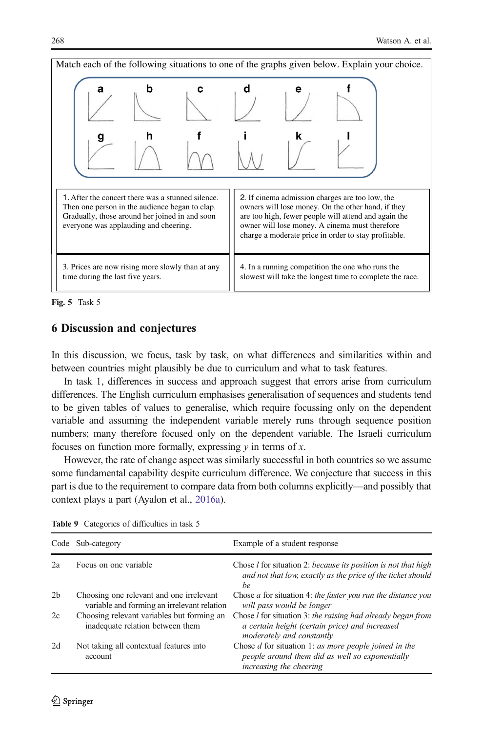<span id="page-13-0"></span>



## 6 Discussion and conjectures

In this discussion, we focus, task by task, on what differences and similarities within and between countries might plausibly be due to curriculum and what to task features.

In task 1, differences in success and approach suggest that errors arise from curriculum differences. The English curriculum emphasises generalisation of sequences and students tend to be given tables of values to generalise, which require focussing only on the dependent variable and assuming the independent variable merely runs through sequence position numbers; many therefore focused only on the dependent variable. The Israeli curriculum focuses on function more formally, expressing  $\nu$  in terms of x.

However, the rate of change aspect was similarly successful in both countries so we assume some fundamental capability despite curriculum difference. We conjecture that success in this part is due to the requirement to compare data from both columns explicitly—and possibly that context plays a part (Ayalon et al., [2016a](#page-16-0)).

|                | Code Sub-category                                                                       | Example of a student response                                                                                                                     |
|----------------|-----------------------------------------------------------------------------------------|---------------------------------------------------------------------------------------------------------------------------------------------------|
| 2a             | Focus on one variable                                                                   | Chose <i>l</i> for situation 2: <i>because its position is not that high</i><br>and not that low, exactly as the price of the ticket should<br>be |
| 2 <sub>b</sub> | Choosing one relevant and one irrelevant<br>variable and forming an irrelevant relation | Chose a for situation 4: the faster you run the distance you<br>will pass would be longer                                                         |
| 2c             | Choosing relevant variables but forming an<br>inadequate relation between them          | Chose <i>l</i> for situation 3: the raising had already began from<br>a certain height (certain price) and increased<br>moderately and constantly |
| 2d             | Not taking all contextual features into<br>account                                      | Chose $d$ for situation 1: as more people joined in the<br>people around them did as well so exponentially<br>increasing the cheering             |

Table 9 Categories of difficulties in task 5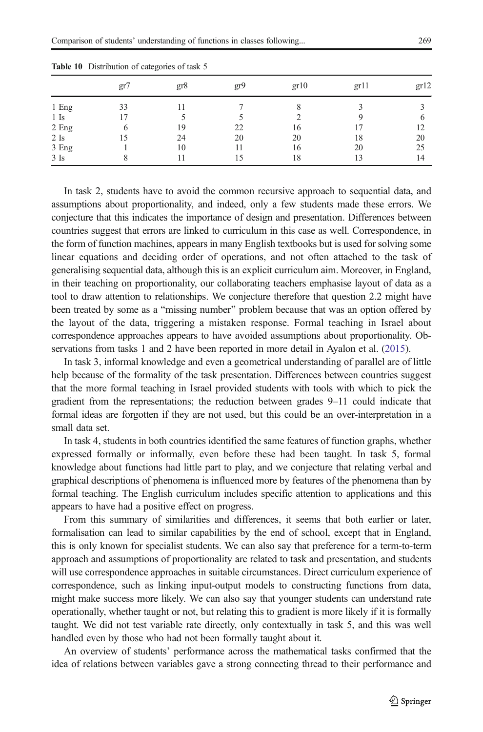|        | gr7 | gr8 | gr9 | gr10 | gr11 | gr12 |
|--------|-----|-----|-----|------|------|------|
| 1 Eng  | 33  |     |     |      |      |      |
| 1 Is   | ۱7  |     |     |      |      |      |
| 2 Eng  | O   | 19  | 22  | 16   |      | 12   |
| $2$ Is | 15  | 24  | 20  | 20   | 18   | 20   |
| 3 Eng  |     | 10  |     | 16   | 20   | 25   |
| $3$ Is |     |     | 15  | 18   | 13   | 14   |

<span id="page-14-0"></span>Table 10 Distribution of categories of task 5

In task 2, students have to avoid the common recursive approach to sequential data, and assumptions about proportionality, and indeed, only a few students made these errors. We conjecture that this indicates the importance of design and presentation. Differences between countries suggest that errors are linked to curriculum in this case as well. Correspondence, in the form of function machines, appears in many English textbooks but is used for solving some linear equations and deciding order of operations, and not often attached to the task of generalising sequential data, although this is an explicit curriculum aim. Moreover, in England, in their teaching on proportionality, our collaborating teachers emphasise layout of data as a tool to draw attention to relationships. We conjecture therefore that question 2.2 might have been treated by some as a "missing number" problem because that was an option offered by the layout of the data, triggering a mistaken response. Formal teaching in Israel about correspondence approaches appears to have avoided assumptions about proportionality. Observations from tasks 1 and 2 have been reported in more detail in Ayalon et al. [\(2015\)](#page-16-0).

In task 3, informal knowledge and even a geometrical understanding of parallel are of little help because of the formality of the task presentation. Differences between countries suggest that the more formal teaching in Israel provided students with tools with which to pick the gradient from the representations; the reduction between grades 9–11 could indicate that formal ideas are forgotten if they are not used, but this could be an over-interpretation in a small data set.

In task 4, students in both countries identified the same features of function graphs, whether expressed formally or informally, even before these had been taught. In task 5, formal knowledge about functions had little part to play, and we conjecture that relating verbal and graphical descriptions of phenomena is influenced more by features of the phenomena than by formal teaching. The English curriculum includes specific attention to applications and this appears to have had a positive effect on progress.

From this summary of similarities and differences, it seems that both earlier or later, formalisation can lead to similar capabilities by the end of school, except that in England, this is only known for specialist students. We can also say that preference for a term-to-term approach and assumptions of proportionality are related to task and presentation, and students will use correspondence approaches in suitable circumstances. Direct curriculum experience of correspondence, such as linking input-output models to constructing functions from data, might make success more likely. We can also say that younger students can understand rate operationally, whether taught or not, but relating this to gradient is more likely if it is formally taught. We did not test variable rate directly, only contextually in task 5, and this was well handled even by those who had not been formally taught about it.

An overview of students' performance across the mathematical tasks confirmed that the idea of relations between variables gave a strong connecting thread to their performance and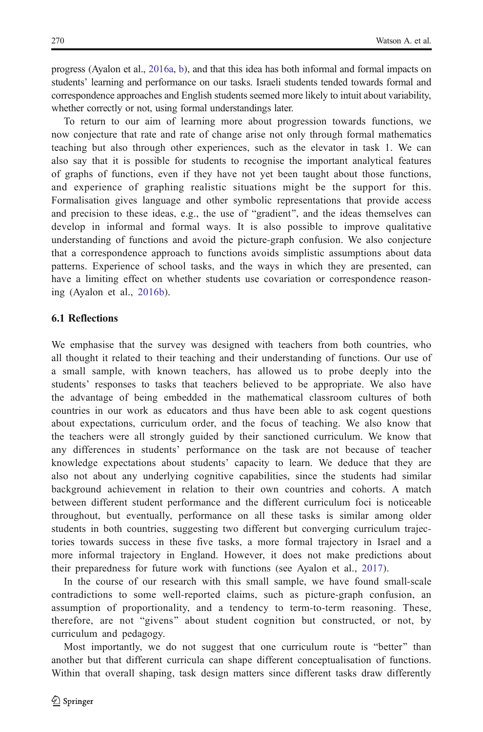progress (Ayalon et al., [2016a,](#page-16-0) [b](#page-16-0)), and that this idea has both informal and formal impacts on students' learning and performance on our tasks. Israeli students tended towards formal and correspondence approaches and English students seemed more likely to intuit about variability, whether correctly or not, using formal understandings later.

To return to our aim of learning more about progression towards functions, we now conjecture that rate and rate of change arise not only through formal mathematics teaching but also through other experiences, such as the elevator in task 1. We can also say that it is possible for students to recognise the important analytical features of graphs of functions, even if they have not yet been taught about those functions, and experience of graphing realistic situations might be the support for this. Formalisation gives language and other symbolic representations that provide access and precision to these ideas, e.g., the use of "gradient", and the ideas themselves can develop in informal and formal ways. It is also possible to improve qualitative understanding of functions and avoid the picture-graph confusion. We also conjecture that a correspondence approach to functions avoids simplistic assumptions about data patterns. Experience of school tasks, and the ways in which they are presented, can have a limiting effect on whether students use covariation or correspondence reasoning (Ayalon et al., [2016b\)](#page-16-0).

#### 6.1 Reflections

We emphasise that the survey was designed with teachers from both countries, who all thought it related to their teaching and their understanding of functions. Our use of a small sample, with known teachers, has allowed us to probe deeply into the students' responses to tasks that teachers believed to be appropriate. We also have the advantage of being embedded in the mathematical classroom cultures of both countries in our work as educators and thus have been able to ask cogent questions about expectations, curriculum order, and the focus of teaching. We also know that the teachers were all strongly guided by their sanctioned curriculum. We know that any differences in students' performance on the task are not because of teacher knowledge expectations about students' capacity to learn. We deduce that they are also not about any underlying cognitive capabilities, since the students had similar background achievement in relation to their own countries and cohorts. A match between different student performance and the different curriculum foci is noticeable throughout, but eventually, performance on all these tasks is similar among older students in both countries, suggesting two different but converging curriculum trajectories towards success in these five tasks, a more formal trajectory in Israel and a more informal trajectory in England. However, it does not make predictions about their preparedness for future work with functions (see Ayalon et al., [2017\)](#page-16-0).

In the course of our research with this small sample, we have found small-scale contradictions to some well-reported claims, such as picture-graph confusion, an assumption of proportionality, and a tendency to term-to-term reasoning. These, therefore, are not "givens" about student cognition but constructed, or not, by curriculum and pedagogy.

Most importantly, we do not suggest that one curriculum route is "better" than another but that different curricula can shape different conceptualisation of functions. Within that overall shaping, task design matters since different tasks draw differently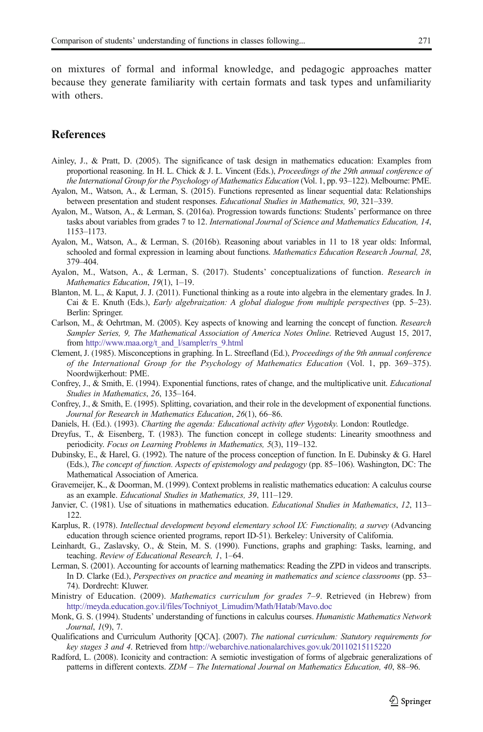<span id="page-16-0"></span>on mixtures of formal and informal knowledge, and pedagogic approaches matter because they generate familiarity with certain formats and task types and unfamiliarity with others.

#### **References**

- Ainley, J., & Pratt, D. (2005). The significance of task design in mathematics education: Examples from proportional reasoning. In H. L. Chick & J. L. Vincent (Eds.), *Proceedings of the 29th annual conference of* the International Group for the Psychology of Mathematics Education (Vol. 1, pp. 93–122). Melbourne: PME.
- Ayalon, M., Watson, A., & Lerman, S. (2015). Functions represented as linear sequential data: Relationships between presentation and student responses. Educational Studies in Mathematics, 90, 321–339.
- Ayalon, M., Watson, A., & Lerman, S. (2016a). Progression towards functions: Students' performance on three tasks about variables from grades 7 to 12. International Journal of Science and Mathematics Education, 14, 1153–1173.
- Ayalon, M., Watson, A., & Lerman, S. (2016b). Reasoning about variables in 11 to 18 year olds: Informal, schooled and formal expression in learning about functions. Mathematics Education Research Journal, 28, 379–404.
- Ayalon, M., Watson, A., & Lerman, S. (2017). Students' conceptualizations of function. Research in Mathematics Education, 19(1), 1–19.
- Blanton, M. L., & Kaput, J. J. (2011). Functional thinking as a route into algebra in the elementary grades. In J. Cai & E. Knuth (Eds.), Early algebraization: A global dialogue from multiple perspectives (pp. 5–23). Berlin: Springer.
- Carlson, M., & Oehrtman, M. (2005). Key aspects of knowing and learning the concept of function. Research Sampler Series, 9, The Mathematical Association of America Notes Online. Retrieved August 15, 2017, from [http://www.maa.org/t\\_and\\_l/sampler/rs\\_9.html](http://www.maa.org/t_and_l/sampler/rs_9.html)
- Clement, J. (1985). Misconceptions in graphing. In L. Streefland (Ed.), Proceedings of the 9th annual conference of the International Group for the Psychology of Mathematics Education (Vol. 1, pp. 369–375). Noordwijkerhout: PME.
- Confrey, J., & Smith, E. (1994). Exponential functions, rates of change, and the multiplicative unit. Educational Studies in Mathematics, 26, 135–164.
- Confrey, J., & Smith, E. (1995). Splitting, covariation, and their role in the development of exponential functions. Journal for Research in Mathematics Education, 26(1), 66–86.
- Daniels, H. (Ed.). (1993). Charting the agenda: Educational activity after Vygotsky. London: Routledge.
- Dreyfus, T., & Eisenberg, T. (1983). The function concept in college students: Linearity smoothness and periodicity. Focus on Learning Problems in Mathematics, 5(3), 119–132.
- Dubinsky, E., & Harel, G. (1992). The nature of the process conception of function. In E. Dubinsky & G. Harel (Eds.), The concept of function. Aspects of epistemology and pedagogy (pp. 85–106). Washington, DC: The Mathematical Association of America.
- Gravemeijer, K., & Doorman, M. (1999). Context problems in realistic mathematics education: A calculus course as an example. Educational Studies in Mathematics, 39, 111–129.
- Janvier, C. (1981). Use of situations in mathematics education. *Educational Studies in Mathematics*, 12, 113– 122.
- Karplus, R. (1978). Intellectual development beyond elementary school IX: Functionality, a survey (Advancing education through science oriented programs, report ID-51). Berkeley: University of California.
- Leinhardt, G., Zaslavsky, O., & Stein, M. S. (1990). Functions, graphs and graphing: Tasks, learning, and teaching. Review of Educational Research, 1, 1–64.
- Lerman, S. (2001). Accounting for accounts of learning mathematics: Reading the ZPD in videos and transcripts. In D. Clarke (Ed.), Perspectives on practice and meaning in mathematics and science classrooms (pp. 53– 74). Dordrecht: Kluwer.
- Ministry of Education. (2009). *Mathematics curriculum for grades* 7–9. Retrieved (in Hebrew) from [http://meyda.education.gov.il/files/Tochniyot\\_Limudim/Math/Hatab/Mavo.doc](http://meyda.education.gov.il/files/Tochniyot_Limudim/Math/Hatab/Mavo.doc)
- Monk, G. S. (1994). Students' understanding of functions in calculus courses. Humanistic Mathematics Network Journal, 1(9), 7.
- Qualifications and Curriculum Authority [QCA]. (2007). The national curriculum: Statutory requirements for key stages 3 and 4. Retrieved from <http://webarchive.nationalarchives.gov.uk/20110215115220>
- Radford, L. (2008). Iconicity and contraction: A semiotic investigation of forms of algebraic generalizations of patterns in different contexts. ZDM – The International Journal on Mathematics Education, 40, 88–96.